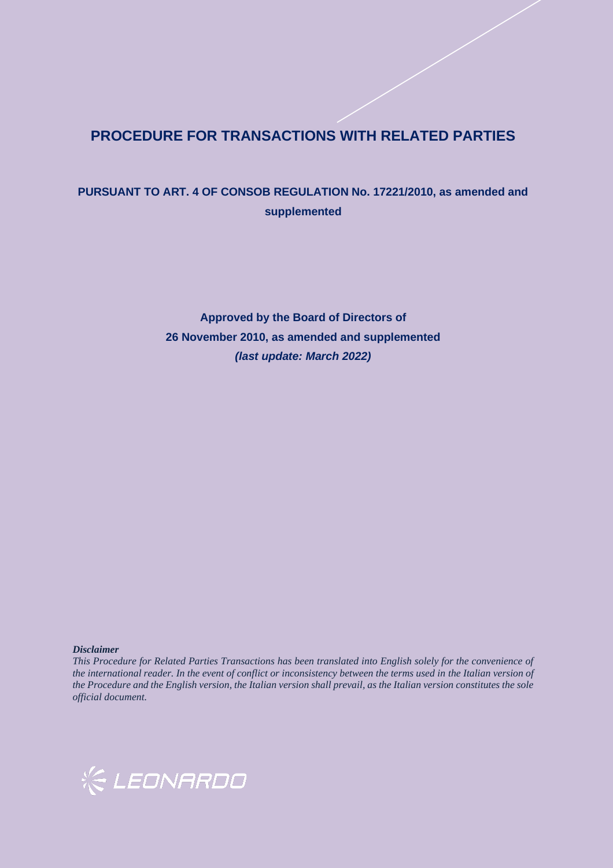# **PROCEDURE FOR TRANSACTIONS WITH RELATED PARTIES**

# **PURSUANT TO ART. 4 OF CONSOB REGULATION No. 17221/2010, as amended and supplemented**

**Approved by the Board of Directors of 26 November 2010, as amended and supplemented** *(last update: March 2022)*

#### *Disclaimer*

*This Procedure for Related Parties Transactions has been translated into English solely for the convenience of the international reader. In the event of conflict or inconsistency between the terms used in the Italian version of the Procedure and the English version, the Italian version shall prevail, as the Italian version constitutes the sole official document.*

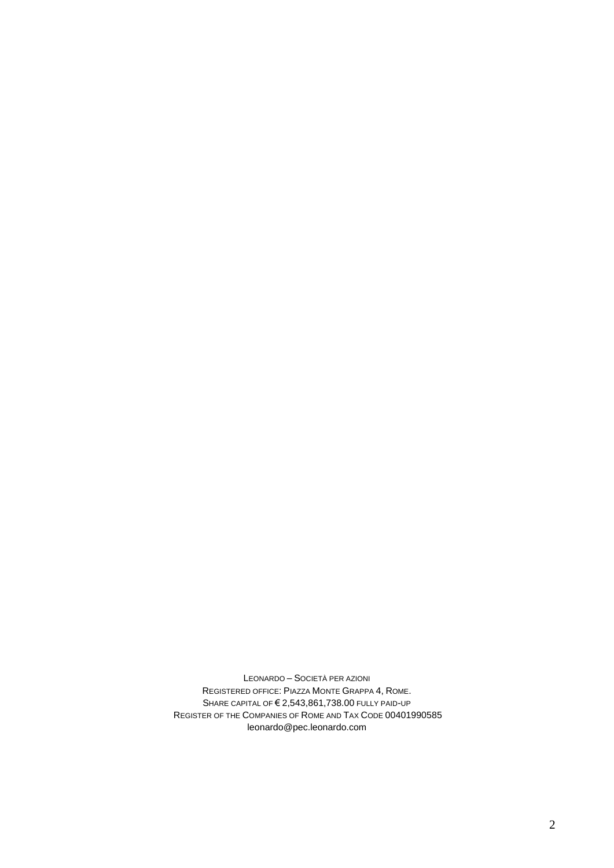LEONARDO – SOCIETÀ PER AZIONI REGISTERED OFFICE: PIAZZA MONTE GRAPPA 4, ROME. SHARE CAPITAL OF € 2,543,861,738.00 FULLY PAID-UP REGISTER OF THE COMPANIES OF ROME AND TAX CODE 00401990585 leonardo@pec.leonardo.com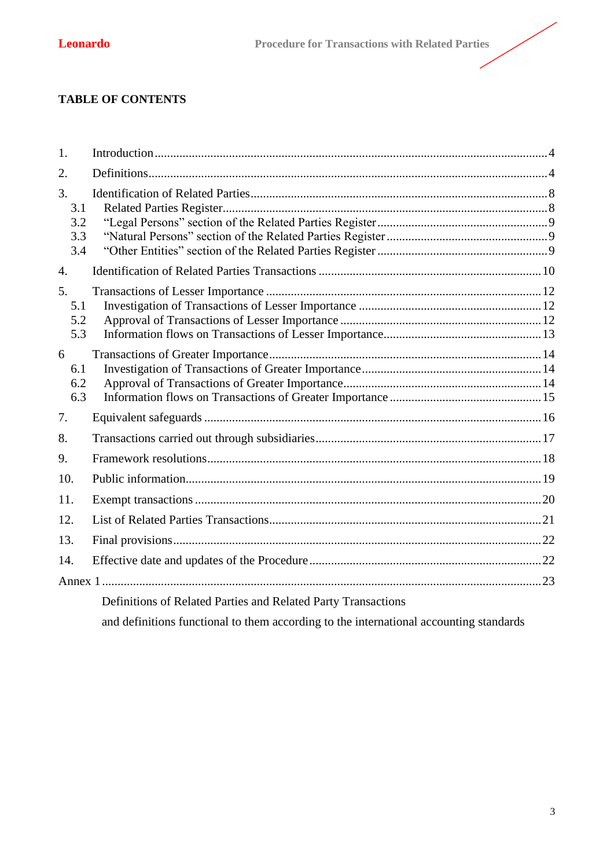# **TABLE OF CONTENTS**

| 1.                             |                                                               |  |
|--------------------------------|---------------------------------------------------------------|--|
| 2.                             |                                                               |  |
| 3.<br>3.1<br>3.2<br>3.3<br>3.4 |                                                               |  |
| $\overline{4}$ .               |                                                               |  |
| 5.<br>5.1<br>5.2<br>5.3        |                                                               |  |
| 6<br>6.1<br>6.2<br>6.3         |                                                               |  |
| 7.                             |                                                               |  |
| 8.                             |                                                               |  |
| 9.                             |                                                               |  |
| 10.                            |                                                               |  |
| 11.                            |                                                               |  |
| 12.                            |                                                               |  |
| 13.                            |                                                               |  |
| 14.                            |                                                               |  |
|                                |                                                               |  |
|                                | Definitions of Related Parties and Related Party Transactions |  |

[and definitions functional to them according to the international accounting standards](#page-22-2)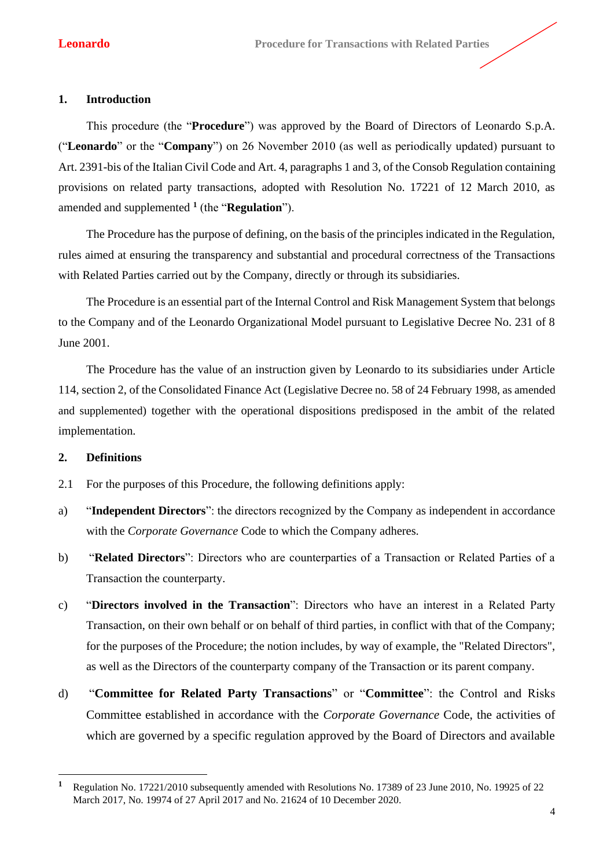#### <span id="page-3-0"></span>**1. Introduction**

This procedure (the "**Procedure**") was approved by the Board of Directors of Leonardo S.p.A. ("**Leonardo**" or the "**Company**") on 26 November 2010 (as well as periodically updated) pursuant to Art. 2391-bis of the Italian Civil Code and Art. 4, paragraphs 1 and 3, of the Consob Regulation containing provisions on related party transactions, adopted with Resolution No. 17221 of 12 March 2010, as amended and supplemented **<sup>1</sup>** (the "**Regulation**").

The Procedure has the purpose of defining, on the basis of the principles indicated in the Regulation, rules aimed at ensuring the transparency and substantial and procedural correctness of the Transactions with Related Parties carried out by the Company, directly or through its subsidiaries.

The Procedure is an essential part of the Internal Control and Risk Management System that belongs to the Company and of the Leonardo Organizational Model pursuant to Legislative Decree No. 231 of 8 June 2001.

The Procedure has the value of an instruction given by Leonardo to its subsidiaries under Article 114, section 2, of the Consolidated Finance Act (Legislative Decree no. 58 of 24 February 1998, as amended and supplemented) together with the operational dispositions predisposed in the ambit of the related implementation.

#### <span id="page-3-1"></span>**2. Definitions**

- 2.1 For the purposes of this Procedure, the following definitions apply:
- a) "**Independent Directors**": the directors recognized by the Company as independent in accordance with the *Corporate Governance* Code to which the Company adheres.
- b) "**Related Directors**": Directors who are counterparties of a Transaction or Related Parties of a Transaction the counterparty.
- c) "**Directors involved in the Transaction**": Directors who have an interest in a Related Party Transaction, on their own behalf or on behalf of third parties, in conflict with that of the Company; for the purposes of the Procedure; the notion includes, by way of example, the "Related Directors", as well as the Directors of the counterparty company of the Transaction or its parent company.
- d) "**Committee for Related Party Transactions**" or "**Committee**": the Control and Risks Committee established in accordance with the *Corporate Governance* Code, the activities of which are governed by a specific regulation approved by the Board of Directors and available

**<sup>1</sup>** Regulation No. 17221/2010 subsequently amended with Resolutions No. 17389 of 23 June 2010, No. 19925 of 22 March 2017, No. 19974 of 27 April 2017 and No. 21624 of 10 December 2020.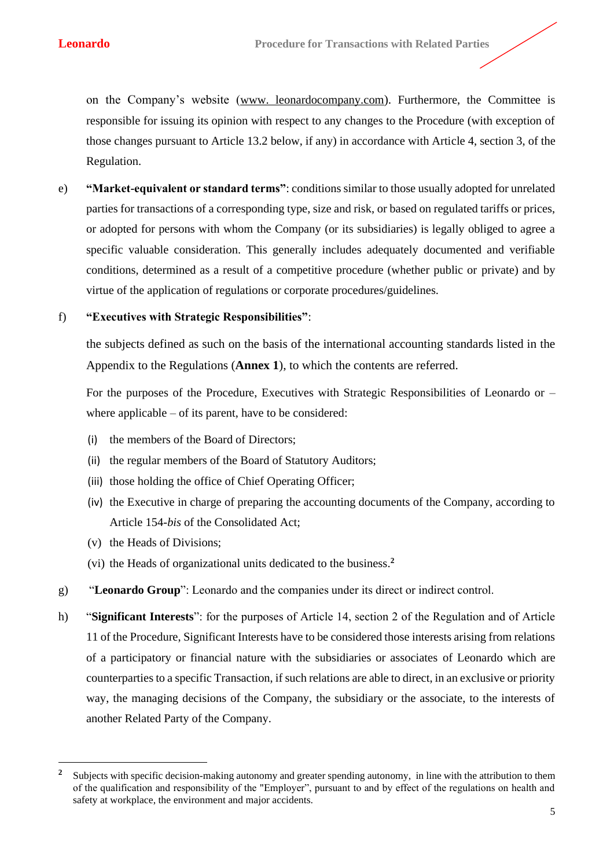on the Company's website ([www. leonardocompany.com](http://www.finmeccanica.com/)). Furthermore, the Committee is responsible for issuing its opinion with respect to any changes to the Procedure (with exception of those changes pursuant to Article 13.2 below, if any) in accordance with Article 4, section 3, of the Regulation.

e) **"Market-equivalent or standard terms"**: conditions similar to those usually adopted for unrelated parties for transactions of a corresponding type, size and risk, or based on regulated tariffs or prices, or adopted for persons with whom the Company (or its subsidiaries) is legally obliged to agree a specific valuable consideration. This generally includes adequately documented and verifiable conditions, determined as a result of a competitive procedure (whether public or private) and by virtue of the application of regulations or corporate procedures/guidelines.

#### f) **"Executives with Strategic Responsibilities"**:

the subjects defined as such on the basis of the international accounting standards listed in the Appendix to the Regulations (**Annex 1**), to which the contents are referred.

For the purposes of the Procedure, Executives with Strategic Responsibilities of Leonardo or – where applicable  $-$  of its parent, have to be considered:

- (i) the members of the Board of Directors;
- (ii) the regular members of the Board of Statutory Auditors;
- (iii) those holding the office of Chief Operating Officer;
- (iv) the Executive in charge of preparing the accounting documents of the Company, according to Article 154-*bis* of the Consolidated Act;
- (v) the Heads of Divisions;
- (vi) the Heads of organizational units dedicated to the business. **2**
- g) "**Leonardo Group**": Leonardo and the companies under its direct or indirect control.
- h) "**Significant Interests**": for the purposes of Article 14, section 2 of the Regulation and of Article 11 of the Procedure, Significant Interests have to be considered those interests arising from relations of a participatory or financial nature with the subsidiaries or associates of Leonardo which are counterparties to a specific Transaction, if such relations are able to direct, in an exclusive or priority way, the managing decisions of the Company, the subsidiary or the associate, to the interests of another Related Party of the Company.

<sup>&</sup>lt;sup>2</sup> Subjects with specific decision-making autonomy and greater spending autonomy, in line with the attribution to them of the qualification and responsibility of the "Employer", pursuant to and by effect of the regulations on health and safety at workplace, the environment and major accidents.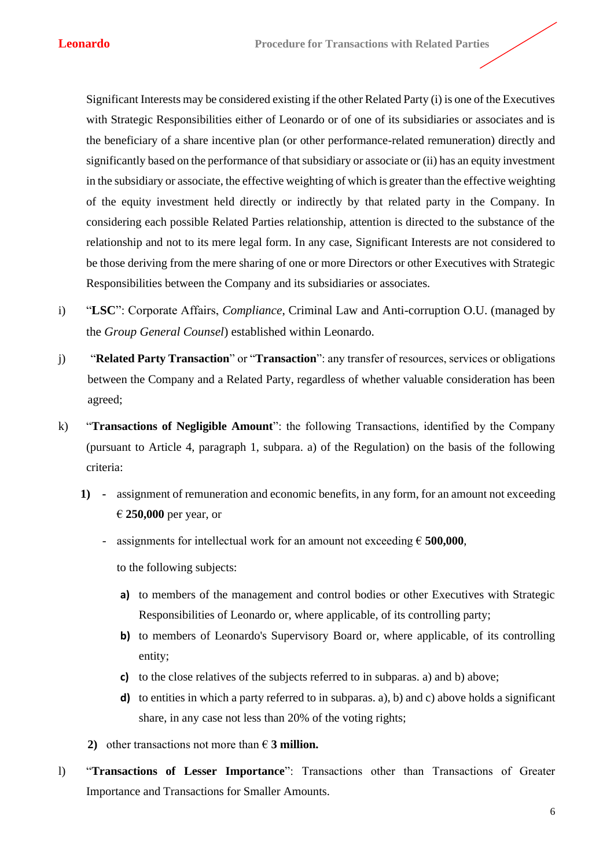Significant Interests may be considered existing if the other Related Party (i) is one of the Executives with Strategic Responsibilities either of Leonardo or of one of its subsidiaries or associates and is the beneficiary of a share incentive plan (or other performance-related remuneration) directly and significantly based on the performance of that subsidiary or associate or (ii) has an equity investment in the subsidiary or associate, the effective weighting of which is greater than the effective weighting of the equity investment held directly or indirectly by that related party in the Company. In considering each possible Related Parties relationship, attention is directed to the substance of the relationship and not to its mere legal form. In any case, Significant Interests are not considered to be those deriving from the mere sharing of one or more Directors or other Executives with Strategic Responsibilities between the Company and its subsidiaries or associates.

- i) "**LSC**": Corporate Affairs, *Compliance*, Criminal Law and Anti-corruption O.U. (managed by the *Group General Counsel*) established within Leonardo.
- j) "**Related Party Transaction**" or "**Transaction**": any transfer of resources, services or obligations between the Company and a Related Party, regardless of whether valuable consideration has been agreed;
- k) "**Transactions of Negligible Amount**": the following Transactions, identified by the Company (pursuant to Article 4, paragraph 1, subpara. a) of the Regulation) on the basis of the following criteria:
	- **1) -** assignment of remuneration and economic benefits, in any form, for an amount not exceeding € **250,000** per year, or
		- assignments for intellectual work for an amount not exceeding € **500,000**,

to the following subjects:

- **a)** to members of the management and control bodies or other Executives with Strategic Responsibilities of Leonardo or, where applicable, of its controlling party;
- **b)** to members of Leonardo's Supervisory Board or, where applicable, of its controlling entity;
- **c)** to the close relatives of the subjects referred to in subparas. a) and b) above;
- **d)** to entities in which a party referred to in subparas. a), b) and c) above holds a significant share, in any case not less than 20% of the voting rights;
- 2) other transactions not more than  $\epsilon$  3 million.
- l) "**Transactions of Lesser Importance**": Transactions other than Transactions of Greater Importance and Transactions for Smaller Amounts.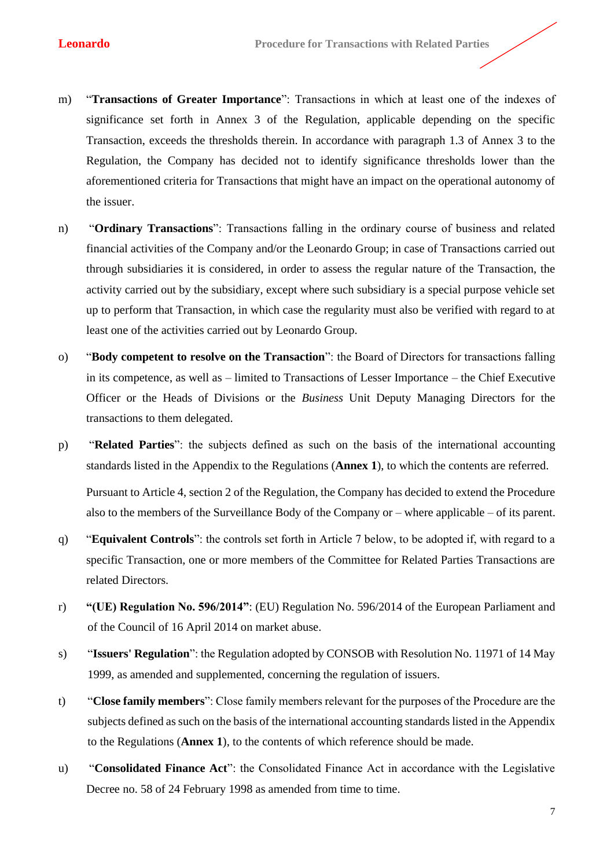- m) "**Transactions of Greater Importance**": Transactions in which at least one of the indexes of significance set forth in Annex 3 of the Regulation, applicable depending on the specific Transaction, exceeds the thresholds therein. In accordance with paragraph 1.3 of Annex 3 to the Regulation, the Company has decided not to identify significance thresholds lower than the aforementioned criteria for Transactions that might have an impact on the operational autonomy of the issuer.
- n) "**Ordinary Transactions**": Transactions falling in the ordinary course of business and related financial activities of the Company and/or the Leonardo Group; in case of Transactions carried out through subsidiaries it is considered, in order to assess the regular nature of the Transaction, the activity carried out by the subsidiary, except where such subsidiary is a special purpose vehicle set up to perform that Transaction, in which case the regularity must also be verified with regard to at least one of the activities carried out by Leonardo Group.
- o) "**Body competent to resolve on the Transaction**": the Board of Directors for transactions falling in its competence, as well as – limited to Transactions of Lesser Importance – the Chief Executive Officer or the Heads of Divisions or the *Business* Unit Deputy Managing Directors for the transactions to them delegated.
- p) "**Related Parties**": the subjects defined as such on the basis of the international accounting standards listed in the Appendix to the Regulations (**Annex 1**), to which the contents are referred.

Pursuant to Article 4, section 2 of the Regulation, the Company has decided to extend the Procedure also to the members of the Surveillance Body of the Company or – where applicable – of its parent.

- q) "**Equivalent Controls**": the controls set forth in Article 7 below, to be adopted if, with regard to a specific Transaction, one or more members of the Committee for Related Parties Transactions are related Directors.
- r) **"(UE) Regulation No. 596/2014"**: (EU) Regulation No. 596/2014 of the European Parliament and of the Council of 16 April 2014 on market abuse.
- s) "**Issuers' Regulation**": the Regulation adopted by CONSOB with Resolution No. 11971 of 14 May 1999, as amended and supplemented, concerning the regulation of issuers.
- t) "**Close family members**": Close family members relevant for the purposes of the Procedure are the subjects defined as such on the basis of the international accounting standards listed in the Appendix to the Regulations (**Annex 1**), to the contents of which reference should be made.
- u) "**Consolidated Finance Act**": the Consolidated Finance Act in accordance with the Legislative Decree no. 58 of 24 February 1998 as amended from time to time.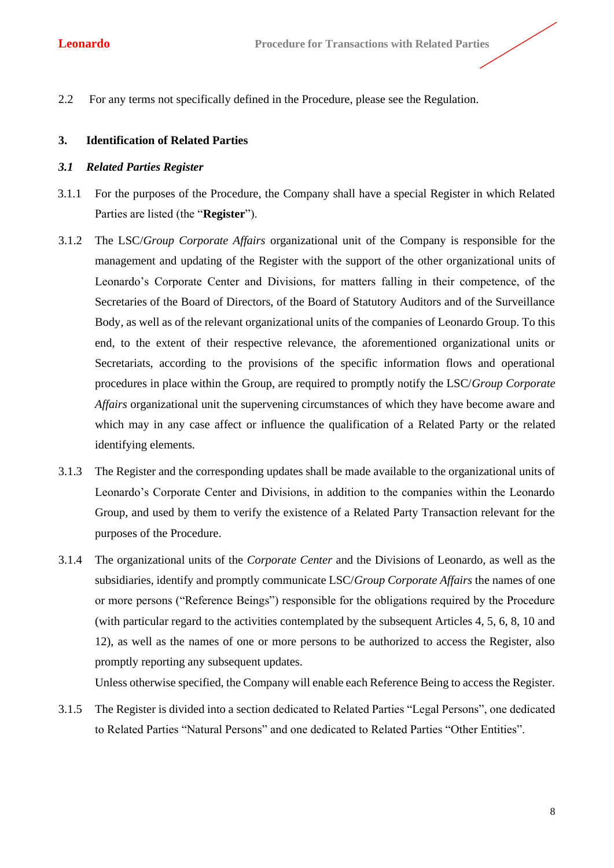2.2 For any terms not specifically defined in the Procedure, please see the Regulation.

#### <span id="page-7-0"></span>**3. Identification of Related Parties**

#### <span id="page-7-1"></span>*3.1 Related Parties Register*

- 3.1.1 For the purposes of the Procedure, the Company shall have a special Register in which Related Parties are listed (the "**Register**").
- 3.1.2 The LSC/*Group Corporate Affairs* organizational unit of the Company is responsible for the management and updating of the Register with the support of the other organizational units of Leonardo's Corporate Center and Divisions, for matters falling in their competence, of the Secretaries of the Board of Directors, of the Board of Statutory Auditors and of the Surveillance Body, as well as of the relevant organizational units of the companies of Leonardo Group. To this end, to the extent of their respective relevance, the aforementioned organizational units or Secretariats, according to the provisions of the specific information flows and operational procedures in place within the Group, are required to promptly notify the LSC/*Group Corporate Affairs* organizational unit the supervening circumstances of which they have become aware and which may in any case affect or influence the qualification of a Related Party or the related identifying elements.
- 3.1.3 The Register and the corresponding updates shall be made available to the organizational units of Leonardo's Corporate Center and Divisions, in addition to the companies within the Leonardo Group, and used by them to verify the existence of a Related Party Transaction relevant for the purposes of the Procedure.
- 3.1.4 The organizational units of the *Corporate Center* and the Divisions of Leonardo, as well as the subsidiaries, identify and promptly communicate LSC/*Group Corporate Affairs* the names of one or more persons ("Reference Beings") responsible for the obligations required by the Procedure (with particular regard to the activities contemplated by the subsequent Articles 4, 5, 6, 8, 10 and 12), as well as the names of one or more persons to be authorized to access the Register, also promptly reporting any subsequent updates.

Unless otherwise specified, the Company will enable each Reference Being to access the Register.

3.1.5 The Register is divided into a section dedicated to Related Parties "Legal Persons", one dedicated to Related Parties "Natural Persons" and one dedicated to Related Parties "Other Entities".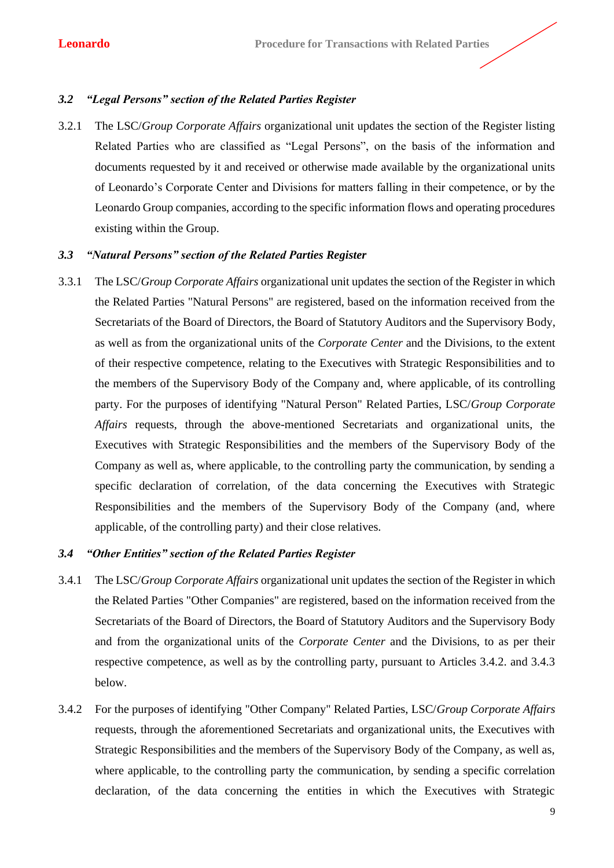#### <span id="page-8-0"></span>*3.2 "Legal Persons" section of the Related Parties Register*

3.2.1 The LSC/*Group Corporate Affairs* organizational unit updates the section of the Register listing Related Parties who are classified as "Legal Persons", on the basis of the information and documents requested by it and received or otherwise made available by the organizational units of Leonardo's Corporate Center and Divisions for matters falling in their competence, or by the Leonardo Group companies, according to the specific information flows and operating procedures existing within the Group.

#### <span id="page-8-1"></span>*3.3 "Natural Persons" section of the Related Parties Register*

3.3.1 The LSC/*Group Corporate Affairs* organizational unit updates the section of the Register in which the Related Parties "Natural Persons" are registered, based on the information received from the Secretariats of the Board of Directors, the Board of Statutory Auditors and the Supervisory Body, as well as from the organizational units of the *Corporate Center* and the Divisions, to the extent of their respective competence, relating to the Executives with Strategic Responsibilities and to the members of the Supervisory Body of the Company and, where applicable, of its controlling party. For the purposes of identifying "Natural Person" Related Parties, LSC/*Group Corporate Affairs* requests, through the above-mentioned Secretariats and organizational units, the Executives with Strategic Responsibilities and the members of the Supervisory Body of the Company as well as, where applicable, to the controlling party the communication, by sending a specific declaration of correlation, of the data concerning the Executives with Strategic Responsibilities and the members of the Supervisory Body of the Company (and, where applicable, of the controlling party) and their close relatives.

#### <span id="page-8-2"></span>*3.4 "Other Entities" section of the Related Parties Register*

- 3.4.1 The LSC/*Group Corporate Affairs* organizational unit updates the section of the Register in which the Related Parties "Other Companies" are registered, based on the information received from the Secretariats of the Board of Directors, the Board of Statutory Auditors and the Supervisory Body and from the organizational units of the *Corporate Center* and the Divisions, to as per their respective competence, as well as by the controlling party, pursuant to Articles 3.4.2. and 3.4.3 below.
- 3.4.2 For the purposes of identifying "Other Company" Related Parties, LSC/*Group Corporate Affairs* requests, through the aforementioned Secretariats and organizational units, the Executives with Strategic Responsibilities and the members of the Supervisory Body of the Company, as well as, where applicable, to the controlling party the communication, by sending a specific correlation declaration, of the data concerning the entities in which the Executives with Strategic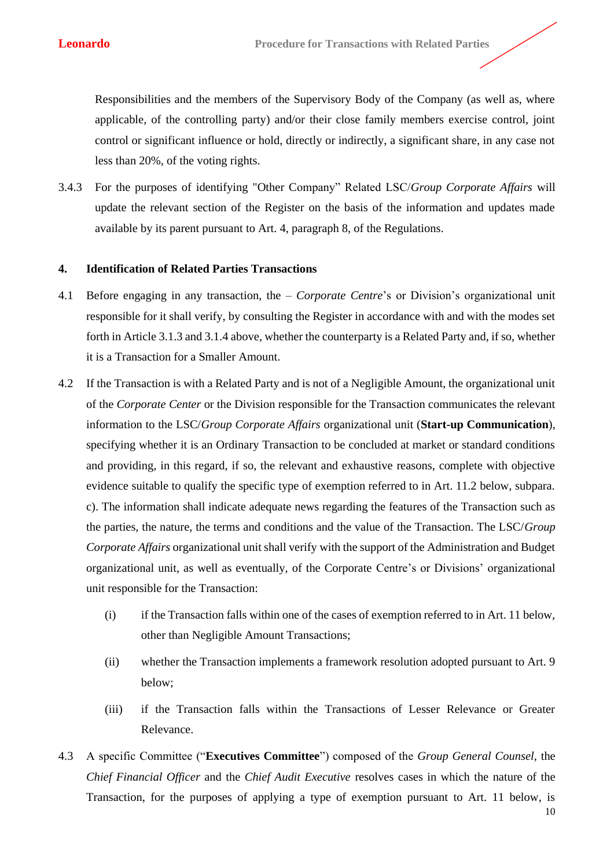Responsibilities and the members of the Supervisory Body of the Company (as well as, where applicable, of the controlling party) and/or their close family members exercise control, joint control or significant influence or hold, directly or indirectly, a significant share, in any case not less than 20%, of the voting rights.

3.4.3 For the purposes of identifying "Other Company" Related LSC/*Group Corporate Affairs* will update the relevant section of the Register on the basis of the information and updates made available by its parent pursuant to Art. 4, paragraph 8, of the Regulations.

#### <span id="page-9-0"></span>**4. Identification of Related Parties Transactions**

- 4.1 Before engaging in any transaction, the *Corporate Centre*'s or Division's organizational unit responsible for it shall verify, by consulting the Register in accordance with and with the modes set forth in Article 3.1.3 and 3.1.4 above, whether the counterparty is a Related Party and, if so, whether it is a Transaction for a Smaller Amount.
- 4.2 If the Transaction is with a Related Party and is not of a Negligible Amount, the organizational unit of the *Corporate Center* or the Division responsible for the Transaction communicates the relevant information to the LSC/*Group Corporate Affairs* organizational unit (**Start-up Communication**), specifying whether it is an Ordinary Transaction to be concluded at market or standard conditions and providing, in this regard, if so, the relevant and exhaustive reasons, complete with objective evidence suitable to qualify the specific type of exemption referred to in Art. 11.2 below, subpara. c). The information shall indicate adequate news regarding the features of the Transaction such as the parties, the nature, the terms and conditions and the value of the Transaction. The LSC/*Group Corporate Affairs* organizational unit shall verify with the support of the Administration and Budget organizational unit, as well as eventually, of the Corporate Centre's or Divisions' organizational unit responsible for the Transaction:
	- (i) if the Transaction falls within one of the cases of exemption referred to in Art. 11 below, other than Negligible Amount Transactions;
	- (ii) whether the Transaction implements a framework resolution adopted pursuant to Art. 9 below;
	- (iii) if the Transaction falls within the Transactions of Lesser Relevance or Greater Relevance.
- 4.3 A specific Committee ("**Executives Committee**") composed of the *Group General Counsel*, the *Chief Financial Officer* and the *Chief Audit Executive* resolves cases in which the nature of the Transaction, for the purposes of applying a type of exemption pursuant to Art. 11 below, is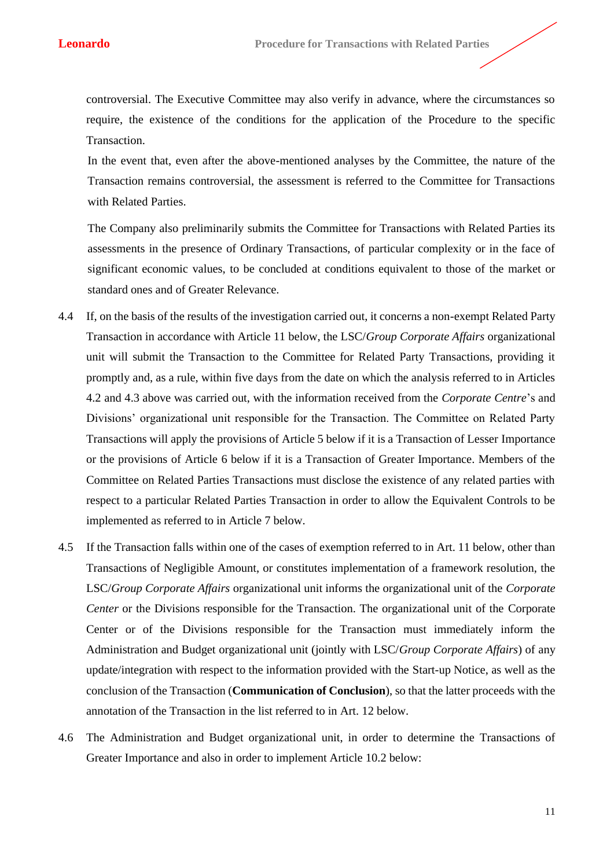controversial. The Executive Committee may also verify in advance, where the circumstances so require, the existence of the conditions for the application of the Procedure to the specific Transaction.

In the event that, even after the above-mentioned analyses by the Committee, the nature of the Transaction remains controversial, the assessment is referred to the Committee for Transactions with Related Parties.

The Company also preliminarily submits the Committee for Transactions with Related Parties its assessments in the presence of Ordinary Transactions, of particular complexity or in the face of significant economic values, to be concluded at conditions equivalent to those of the market or standard ones and of Greater Relevance.

- 4.4 If, on the basis of the results of the investigation carried out, it concerns a non-exempt Related Party Transaction in accordance with Article 11 below, the LSC/*Group Corporate Affairs* organizational unit will submit the Transaction to the Committee for Related Party Transactions, providing it promptly and, as a rule, within five days from the date on which the analysis referred to in Articles 4.2 and 4.3 above was carried out, with the information received from the *Corporate Centre*'s and Divisions' organizational unit responsible for the Transaction. The Committee on Related Party Transactions will apply the provisions of Article 5 below if it is a Transaction of Lesser Importance or the provisions of Article 6 below if it is a Transaction of Greater Importance. Members of the Committee on Related Parties Transactions must disclose the existence of any related parties with respect to a particular Related Parties Transaction in order to allow the Equivalent Controls to be implemented as referred to in Article 7 below.
- 4.5 If the Transaction falls within one of the cases of exemption referred to in Art. 11 below, other than Transactions of Negligible Amount, or constitutes implementation of a framework resolution, the LSC/*Group Corporate Affairs* organizational unit informs the organizational unit of the *Corporate Center* or the Divisions responsible for the Transaction. The organizational unit of the Corporate Center or of the Divisions responsible for the Transaction must immediately inform the Administration and Budget organizational unit (jointly with LSC/*Group Corporate Affairs*) of any update/integration with respect to the information provided with the Start-up Notice, as well as the conclusion of the Transaction (**Communication of Conclusion**), so that the latter proceeds with the annotation of the Transaction in the list referred to in Art. 12 below.
- 4.6 The Administration and Budget organizational unit, in order to determine the Transactions of Greater Importance and also in order to implement Article 10.2 below: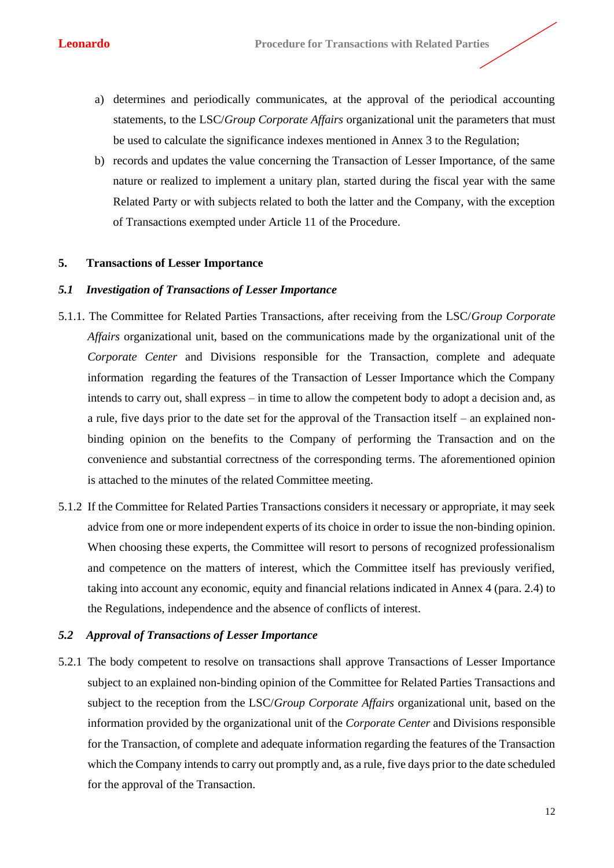- a) determines and periodically communicates, at the approval of the periodical accounting statements, to the LSC/*Group Corporate Affairs* organizational unit the parameters that must be used to calculate the significance indexes mentioned in Annex 3 to the Regulation;
- b) records and updates the value concerning the Transaction of Lesser Importance, of the same nature or realized to implement a unitary plan, started during the fiscal year with the same Related Party or with subjects related to both the latter and the Company, with the exception of Transactions exempted under Article 11 of the Procedure.

#### <span id="page-11-0"></span>**5. Transactions of Lesser Importance**

#### <span id="page-11-1"></span>*5.1 Investigation of Transactions of Lesser Importance*

- 5.1.1. The Committee for Related Parties Transactions, after receiving from the LSC/*Group Corporate Affairs* organizational unit, based on the communications made by the organizational unit of the *Corporate Center* and Divisions responsible for the Transaction, complete and adequate information regarding the features of the Transaction of Lesser Importance which the Company intends to carry out, shall express – in time to allow the competent body to adopt a decision and, as a rule, five days prior to the date set for the approval of the Transaction itself – an explained nonbinding opinion on the benefits to the Company of performing the Transaction and on the convenience and substantial correctness of the corresponding terms. The aforementioned opinion is attached to the minutes of the related Committee meeting.
- 5.1.2 If the Committee for Related Parties Transactions considers it necessary or appropriate, it may seek advice from one or more independent experts of its choice in order to issue the non-binding opinion. When choosing these experts, the Committee will resort to persons of recognized professionalism and competence on the matters of interest, which the Committee itself has previously verified, taking into account any economic, equity and financial relations indicated in Annex 4 (para. 2.4) to the Regulations, independence and the absence of conflicts of interest.

#### <span id="page-11-2"></span>*5.2 Approval of Transactions of Lesser Importance*

5.2.1 The body competent to resolve on transactions shall approve Transactions of Lesser Importance subject to an explained non-binding opinion of the Committee for Related Parties Transactions and subject to the reception from the LSC/*Group Corporate Affairs* organizational unit, based on the information provided by the organizational unit of the *Corporate Center* and Divisions responsible for the Transaction, of complete and adequate information regarding the features of the Transaction which the Company intends to carry out promptly and, as a rule, five days prior to the date scheduled for the approval of the Transaction.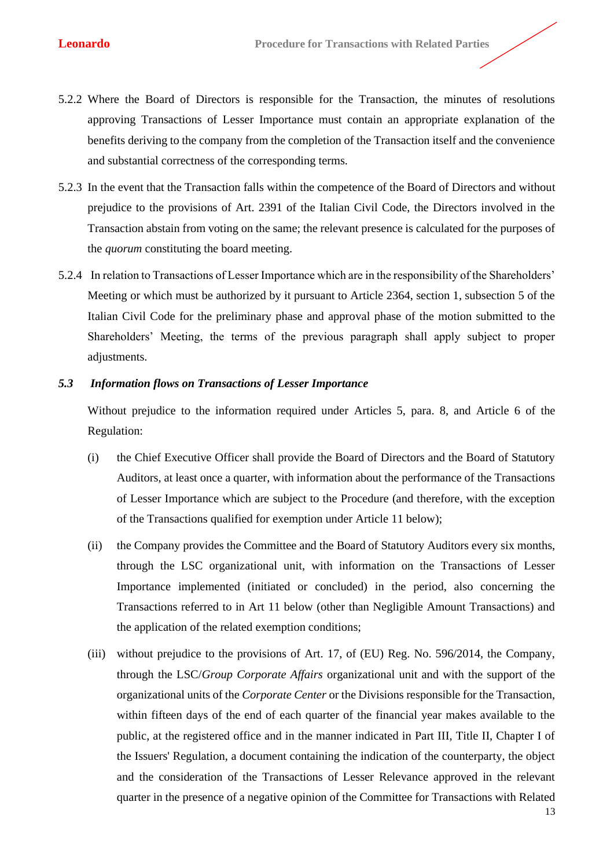- 5.2.2 Where the Board of Directors is responsible for the Transaction, the minutes of resolutions approving Transactions of Lesser Importance must contain an appropriate explanation of the benefits deriving to the company from the completion of the Transaction itself and the convenience and substantial correctness of the corresponding terms.
- 5.2.3 In the event that the Transaction falls within the competence of the Board of Directors and without prejudice to the provisions of Art. 2391 of the Italian Civil Code, the Directors involved in the Transaction abstain from voting on the same; the relevant presence is calculated for the purposes of the *quorum* constituting the board meeting.
- 5.2.4 In relation to Transactions of Lesser Importance which are in the responsibility of the Shareholders' Meeting or which must be authorized by it pursuant to Article 2364, section 1, subsection 5 of the Italian Civil Code for the preliminary phase and approval phase of the motion submitted to the Shareholders' Meeting, the terms of the previous paragraph shall apply subject to proper adjustments.

#### <span id="page-12-0"></span>*5.3 Information flows on Transactions of Lesser Importance*

Without prejudice to the information required under Articles 5, para. 8, and Article 6 of the Regulation:

- (i) the Chief Executive Officer shall provide the Board of Directors and the Board of Statutory Auditors, at least once a quarter, with information about the performance of the Transactions of Lesser Importance which are subject to the Procedure (and therefore, with the exception of the Transactions qualified for exemption under Article 11 below);
- (ii) the Company provides the Committee and the Board of Statutory Auditors every six months, through the LSC organizational unit, with information on the Transactions of Lesser Importance implemented (initiated or concluded) in the period, also concerning the Transactions referred to in Art 11 below (other than Negligible Amount Transactions) and the application of the related exemption conditions;
- (iii) without prejudice to the provisions of Art. 17, of (EU) Reg. No. 596/2014, the Company, through the LSC/*Group Corporate Affairs* organizational unit and with the support of the organizational units of the *Corporate Center* or the Divisions responsible for the Transaction, within fifteen days of the end of each quarter of the financial year makes available to the public, at the registered office and in the manner indicated in Part III, Title II, Chapter I of the Issuers' Regulation, a document containing the indication of the counterparty, the object and the consideration of the Transactions of Lesser Relevance approved in the relevant quarter in the presence of a negative opinion of the Committee for Transactions with Related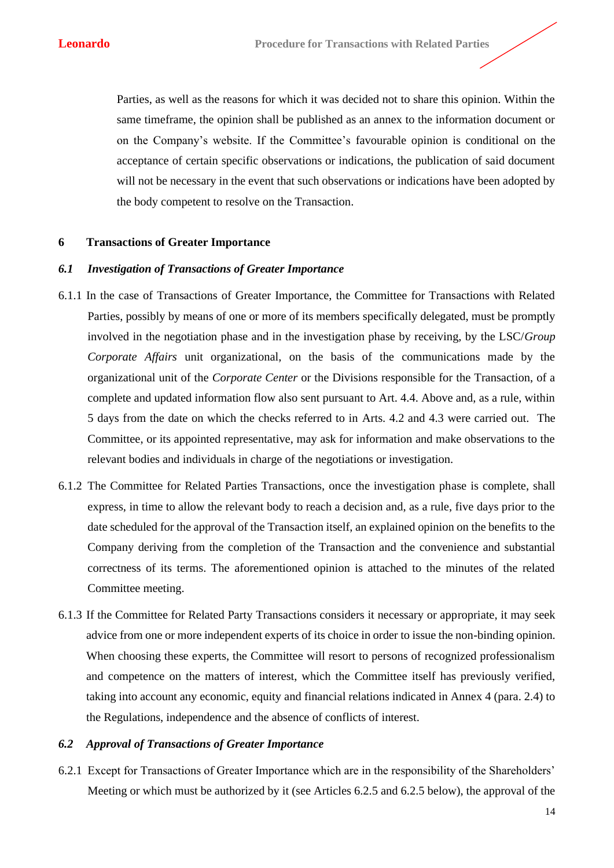Parties, as well as the reasons for which it was decided not to share this opinion. Within the same timeframe, the opinion shall be published as an annex to the information document or on the Company's website. If the Committee's favourable opinion is conditional on the acceptance of certain specific observations or indications, the publication of said document will not be necessary in the event that such observations or indications have been adopted by the body competent to resolve on the Transaction.

#### <span id="page-13-0"></span>**6 Transactions of Greater Importance**

#### <span id="page-13-1"></span>*6.1 Investigation of Transactions of Greater Importance*

- 6.1.1 In the case of Transactions of Greater Importance, the Committee for Transactions with Related Parties, possibly by means of one or more of its members specifically delegated, must be promptly involved in the negotiation phase and in the investigation phase by receiving, by the LSC/*Group Corporate Affairs* unit organizational, on the basis of the communications made by the organizational unit of the *Corporate Center* or the Divisions responsible for the Transaction, of a complete and updated information flow also sent pursuant to Art. 4.4. Above and, as a rule, within 5 days from the date on which the checks referred to in Arts. 4.2 and 4.3 were carried out. The Committee, or its appointed representative, may ask for information and make observations to the relevant bodies and individuals in charge of the negotiations or investigation.
- 6.1.2 The Committee for Related Parties Transactions, once the investigation phase is complete, shall express, in time to allow the relevant body to reach a decision and, as a rule, five days prior to the date scheduled for the approval of the Transaction itself, an explained opinion on the benefits to the Company deriving from the completion of the Transaction and the convenience and substantial correctness of its terms. The aforementioned opinion is attached to the minutes of the related Committee meeting.
- 6.1.3 If the Committee for Related Party Transactions considers it necessary or appropriate, it may seek advice from one or more independent experts of its choice in order to issue the non-binding opinion. When choosing these experts, the Committee will resort to persons of recognized professionalism and competence on the matters of interest, which the Committee itself has previously verified, taking into account any economic, equity and financial relations indicated in Annex 4 (para. 2.4) to the Regulations, independence and the absence of conflicts of interest.

#### <span id="page-13-2"></span>*6.2 Approval of Transactions of Greater Importance*

6.2.1 Except for Transactions of Greater Importance which are in the responsibility of the Shareholders' Meeting or which must be authorized by it (see Articles 6.2.5 and 6.2.5 below), the approval of the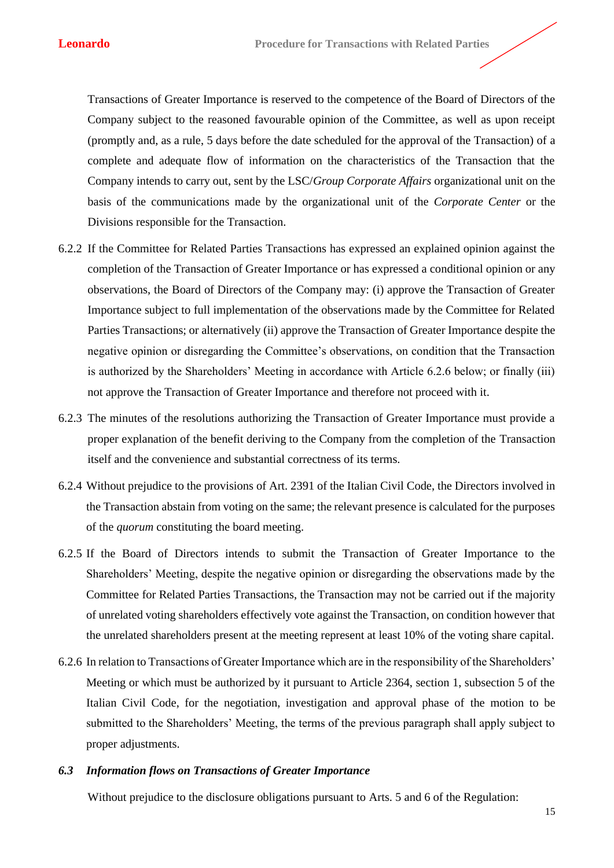Transactions of Greater Importance is reserved to the competence of the Board of Directors of the Company subject to the reasoned favourable opinion of the Committee, as well as upon receipt (promptly and, as a rule, 5 days before the date scheduled for the approval of the Transaction) of a complete and adequate flow of information on the characteristics of the Transaction that the Company intends to carry out, sent by the LSC/*Group Corporate Affairs* organizational unit on the basis of the communications made by the organizational unit of the *Corporate Center* or the Divisions responsible for the Transaction.

- 6.2.2 If the Committee for Related Parties Transactions has expressed an explained opinion against the completion of the Transaction of Greater Importance or has expressed a conditional opinion or any observations, the Board of Directors of the Company may: (i) approve the Transaction of Greater Importance subject to full implementation of the observations made by the Committee for Related Parties Transactions; or alternatively (ii) approve the Transaction of Greater Importance despite the negative opinion or disregarding the Committee's observations, on condition that the Transaction is authorized by the Shareholders' Meeting in accordance with Article 6.2.6 below; or finally (iii) not approve the Transaction of Greater Importance and therefore not proceed with it.
- 6.2.3 The minutes of the resolutions authorizing the Transaction of Greater Importance must provide a proper explanation of the benefit deriving to the Company from the completion of the Transaction itself and the convenience and substantial correctness of its terms.
- 6.2.4 Without prejudice to the provisions of Art. 2391 of the Italian Civil Code, the Directors involved in the Transaction abstain from voting on the same; the relevant presence is calculated for the purposes of the *quorum* constituting the board meeting.
- 6.2.5 If the Board of Directors intends to submit the Transaction of Greater Importance to the Shareholders' Meeting, despite the negative opinion or disregarding the observations made by the Committee for Related Parties Transactions, the Transaction may not be carried out if the majority of unrelated voting shareholders effectively vote against the Transaction, on condition however that the unrelated shareholders present at the meeting represent at least 10% of the voting share capital.
- 6.2.6 In relation to Transactions of Greater Importance which are in the responsibility of the Shareholders' Meeting or which must be authorized by it pursuant to Article 2364, section 1, subsection 5 of the Italian Civil Code, for the negotiation, investigation and approval phase of the motion to be submitted to the Shareholders' Meeting, the terms of the previous paragraph shall apply subject to proper adjustments.

#### <span id="page-14-0"></span>*6.3 Information flows on Transactions of Greater Importance*

Without prejudice to the disclosure obligations pursuant to Arts. 5 and 6 of the Regulation: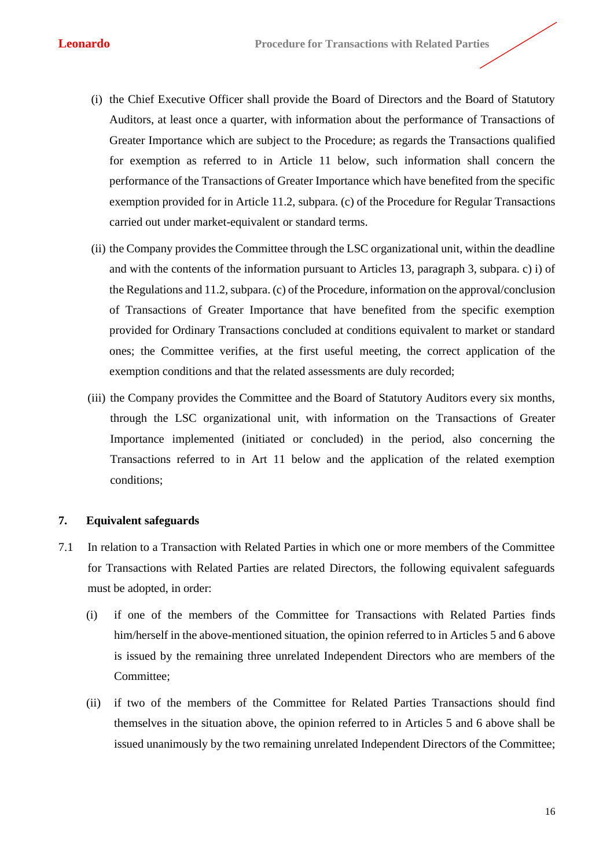- (i) the Chief Executive Officer shall provide the Board of Directors and the Board of Statutory Auditors, at least once a quarter, with information about the performance of Transactions of Greater Importance which are subject to the Procedure; as regards the Transactions qualified for exemption as referred to in Article 11 below, such information shall concern the performance of the Transactions of Greater Importance which have benefited from the specific exemption provided for in Article 11.2, subpara. (c) of the Procedure for Regular Transactions carried out under market-equivalent or standard terms.
- (ii) the Company provides the Committee through the LSC organizational unit, within the deadline and with the contents of the information pursuant to Articles 13, paragraph 3, subpara. c) i) of the Regulations and 11.2, subpara. (c) of the Procedure, information on the approval/conclusion of Transactions of Greater Importance that have benefited from the specific exemption provided for Ordinary Transactions concluded at conditions equivalent to market or standard ones; the Committee verifies, at the first useful meeting, the correct application of the exemption conditions and that the related assessments are duly recorded;
- (iii) the Company provides the Committee and the Board of Statutory Auditors every six months, through the LSC organizational unit, with information on the Transactions of Greater Importance implemented (initiated or concluded) in the period, also concerning the Transactions referred to in Art 11 below and the application of the related exemption conditions;

#### <span id="page-15-0"></span>**7. Equivalent safeguards**

- 7.1 In relation to a Transaction with Related Parties in which one or more members of the Committee for Transactions with Related Parties are related Directors, the following equivalent safeguards must be adopted, in order:
	- (i) if one of the members of the Committee for Transactions with Related Parties finds him/herself in the above-mentioned situation, the opinion referred to in Articles 5 and 6 above is issued by the remaining three unrelated Independent Directors who are members of the Committee;
	- (ii) if two of the members of the Committee for Related Parties Transactions should find themselves in the situation above, the opinion referred to in Articles 5 and 6 above shall be issued unanimously by the two remaining unrelated Independent Directors of the Committee;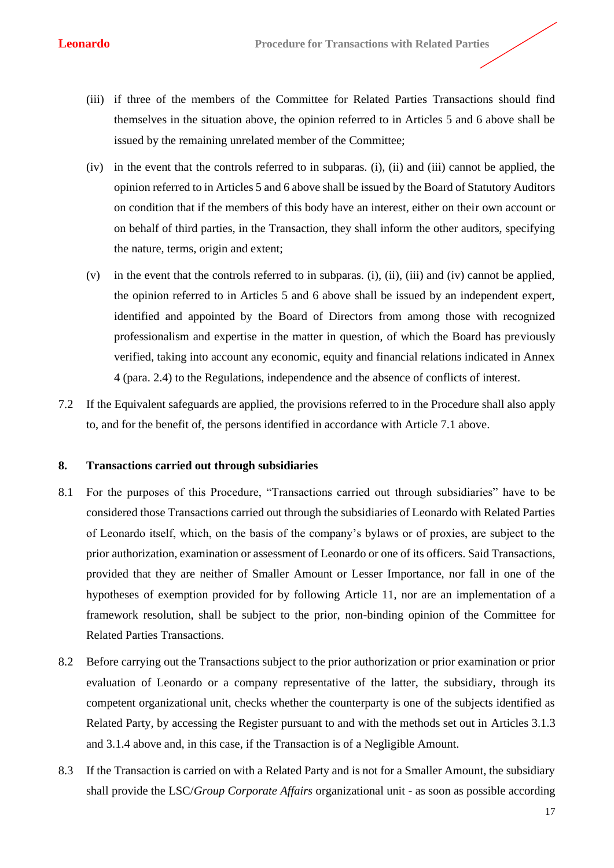- (iii) if three of the members of the Committee for Related Parties Transactions should find themselves in the situation above, the opinion referred to in Articles 5 and 6 above shall be issued by the remaining unrelated member of the Committee;
- (iv) in the event that the controls referred to in subparas. (i), (ii) and (iii) cannot be applied, the opinion referred to in Articles 5 and 6 above shall be issued by the Board of Statutory Auditors on condition that if the members of this body have an interest, either on their own account or on behalf of third parties, in the Transaction, they shall inform the other auditors, specifying the nature, terms, origin and extent;
- (v) in the event that the controls referred to in subparas. (i), (ii), (iii) and (iv) cannot be applied, the opinion referred to in Articles 5 and 6 above shall be issued by an independent expert, identified and appointed by the Board of Directors from among those with recognized professionalism and expertise in the matter in question, of which the Board has previously verified, taking into account any economic, equity and financial relations indicated in Annex 4 (para. 2.4) to the Regulations, independence and the absence of conflicts of interest.
- 7.2 If the Equivalent safeguards are applied, the provisions referred to in the Procedure shall also apply to, and for the benefit of, the persons identified in accordance with Article 7.1 above.

#### <span id="page-16-0"></span>**8. Transactions carried out through subsidiaries**

- 8.1 For the purposes of this Procedure, "Transactions carried out through subsidiaries" have to be considered those Transactions carried out through the subsidiaries of Leonardo with Related Parties of Leonardo itself, which, on the basis of the company's bylaws or of proxies, are subject to the prior authorization, examination or assessment of Leonardo or one of its officers. Said Transactions, provided that they are neither of Smaller Amount or Lesser Importance, nor fall in one of the hypotheses of exemption provided for by following Article 11, nor are an implementation of a framework resolution, shall be subject to the prior, non-binding opinion of the Committee for Related Parties Transactions.
- 8.2 Before carrying out the Transactions subject to the prior authorization or prior examination or prior evaluation of Leonardo or a company representative of the latter, the subsidiary, through its competent organizational unit, checks whether the counterparty is one of the subjects identified as Related Party, by accessing the Register pursuant to and with the methods set out in Articles 3.1.3 and 3.1.4 above and, in this case, if the Transaction is of a Negligible Amount.
- 8.3 If the Transaction is carried on with a Related Party and is not for a Smaller Amount, the subsidiary shall provide the LSC/*Group Corporate Affairs* organizational unit - as soon as possible according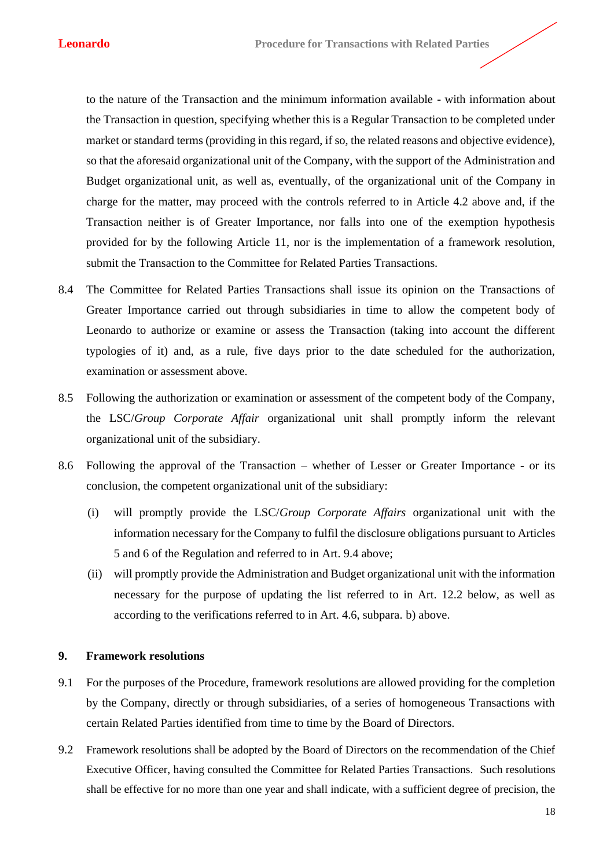to the nature of the Transaction and the minimum information available - with information about the Transaction in question, specifying whether this is a Regular Transaction to be completed under market or standard terms (providing in this regard, if so, the related reasons and objective evidence), so that the aforesaid organizational unit of the Company, with the support of the Administration and Budget organizational unit, as well as, eventually, of the organizational unit of the Company in charge for the matter, may proceed with the controls referred to in Article 4.2 above and, if the Transaction neither is of Greater Importance, nor falls into one of the exemption hypothesis provided for by the following Article 11, nor is the implementation of a framework resolution, submit the Transaction to the Committee for Related Parties Transactions.

- 8.4 The Committee for Related Parties Transactions shall issue its opinion on the Transactions of Greater Importance carried out through subsidiaries in time to allow the competent body of Leonardo to authorize or examine or assess the Transaction (taking into account the different typologies of it) and, as a rule, five days prior to the date scheduled for the authorization, examination or assessment above.
- 8.5 Following the authorization or examination or assessment of the competent body of the Company, the LSC/*Group Corporate Affair* organizational unit shall promptly inform the relevant organizational unit of the subsidiary.
- 8.6 Following the approval of the Transaction whether of Lesser or Greater Importance or its conclusion, the competent organizational unit of the subsidiary:
	- (i) will promptly provide the LSC/*Group Corporate Affairs* organizational unit with the information necessary for the Company to fulfil the disclosure obligations pursuant to Articles 5 and 6 of the Regulation and referred to in Art. 9.4 above;
	- (ii) will promptly provide the Administration and Budget organizational unit with the information necessary for the purpose of updating the list referred to in Art. 12.2 below, as well as according to the verifications referred to in Art. 4.6, subpara. b) above.

#### <span id="page-17-0"></span>**9. Framework resolutions**

- 9.1 For the purposes of the Procedure, framework resolutions are allowed providing for the completion by the Company, directly or through subsidiaries, of a series of homogeneous Transactions with certain Related Parties identified from time to time by the Board of Directors.
- 9.2 Framework resolutions shall be adopted by the Board of Directors on the recommendation of the Chief Executive Officer, having consulted the Committee for Related Parties Transactions. Such resolutions shall be effective for no more than one year and shall indicate, with a sufficient degree of precision, the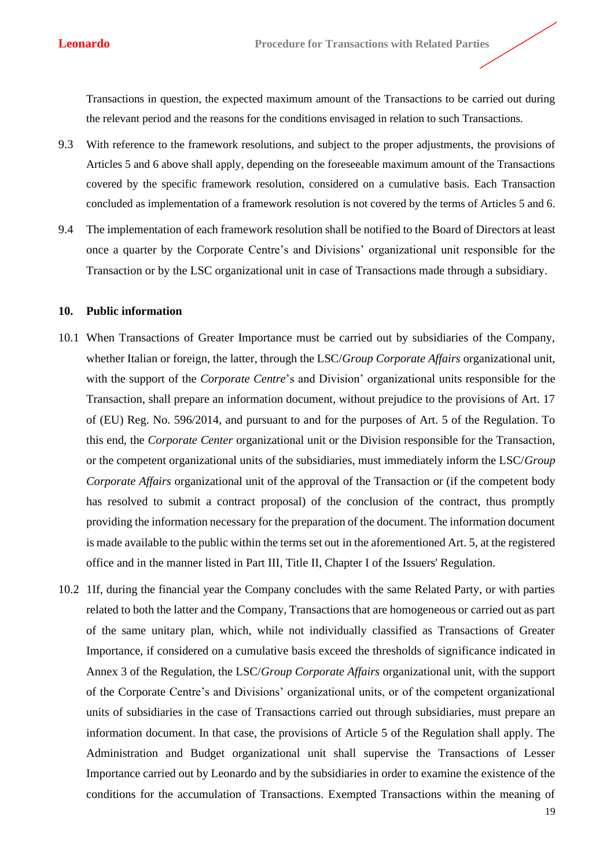Transactions in question, the expected maximum amount of the Transactions to be carried out during the relevant period and the reasons for the conditions envisaged in relation to such Transactions.

- 9.3 With reference to the framework resolutions, and subject to the proper adjustments, the provisions of Articles 5 and 6 above shall apply, depending on the foreseeable maximum amount of the Transactions covered by the specific framework resolution, considered on a cumulative basis. Each Transaction concluded as implementation of a framework resolution is not covered by the terms of Articles 5 and 6.
- 9.4 The implementation of each framework resolution shall be notified to the Board of Directors at least once a quarter by the Corporate Centre's and Divisions' organizational unit responsible for the Transaction or by the LSC organizational unit in case of Transactions made through a subsidiary.

#### <span id="page-18-0"></span>**10. Public information**

- 10.1 When Transactions of Greater Importance must be carried out by subsidiaries of the Company, whether Italian or foreign, the latter, through the LSC/*Group Corporate Affairs* organizational unit, with the support of the *Corporate Centre*'s and Division' organizational units responsible for the Transaction, shall prepare an information document, without prejudice to the provisions of Art. 17 of (EU) Reg. No. 596/2014, and pursuant to and for the purposes of Art. 5 of the Regulation. To this end, the *Corporate Center* organizational unit or the Division responsible for the Transaction, or the competent organizational units of the subsidiaries, must immediately inform the LSC/*Group Corporate Affairs* organizational unit of the approval of the Transaction or (if the competent body has resolved to submit a contract proposal) of the conclusion of the contract, thus promptly providing the information necessary for the preparation of the document. The information document is made available to the public within the terms set out in the aforementioned Art. 5, at the registered office and in the manner listed in Part III, Title II, Chapter I of the Issuers' Regulation.
- 10.2 1If, during the financial year the Company concludes with the same Related Party, or with parties related to both the latter and the Company, Transactions that are homogeneous or carried out as part of the same unitary plan, which, while not individually classified as Transactions of Greater Importance, if considered on a cumulative basis exceed the thresholds of significance indicated in Annex 3 of the Regulation, the LSC/*Group Corporate Affairs* organizational unit, with the support of the Corporate Centre's and Divisions' organizational units, or of the competent organizational units of subsidiaries in the case of Transactions carried out through subsidiaries, must prepare an information document. In that case, the provisions of Article 5 of the Regulation shall apply. The Administration and Budget organizational unit shall supervise the Transactions of Lesser Importance carried out by Leonardo and by the subsidiaries in order to examine the existence of the conditions for the accumulation of Transactions. Exempted Transactions within the meaning of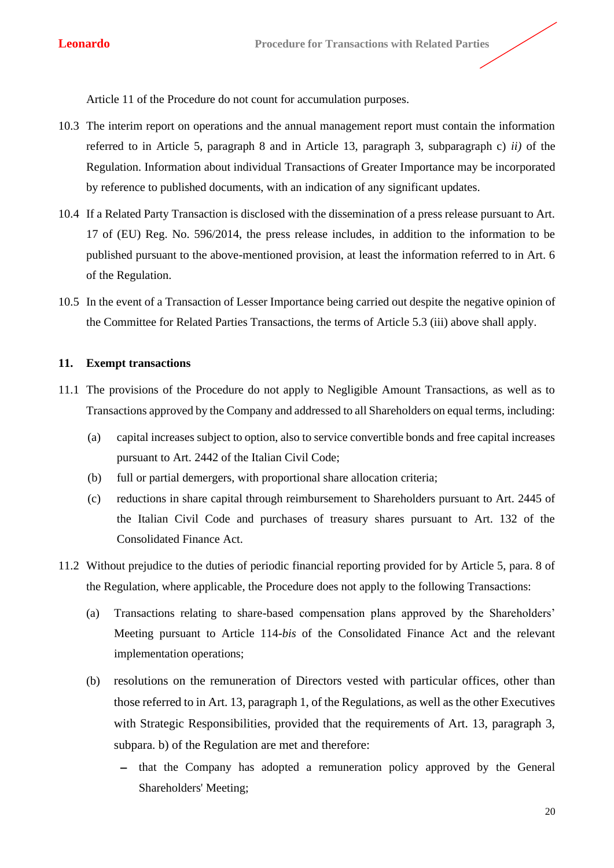Article 11 of the Procedure do not count for accumulation purposes.

- 10.3 The interim report on operations and the annual management report must contain the information referred to in Article 5, paragraph 8 and in Article 13, paragraph 3, subparagraph c) *ii)* of the Regulation. Information about individual Transactions of Greater Importance may be incorporated by reference to published documents, with an indication of any significant updates.
- 10.4 If a Related Party Transaction is disclosed with the dissemination of a press release pursuant to Art. 17 of (EU) Reg. No. 596/2014, the press release includes, in addition to the information to be published pursuant to the above-mentioned provision, at least the information referred to in Art. 6 of the Regulation.
- 10.5 In the event of a Transaction of Lesser Importance being carried out despite the negative opinion of the Committee for Related Parties Transactions, the terms of Article 5.3 (iii) above shall apply.

#### <span id="page-19-0"></span>**11. Exempt transactions**

- 11.1 The provisions of the Procedure do not apply to Negligible Amount Transactions, as well as to Transactions approved by the Company and addressed to all Shareholders on equal terms, including:
	- (a) capital increases subject to option, also to service convertible bonds and free capital increases pursuant to Art. 2442 of the Italian Civil Code;
	- (b) full or partial demergers, with proportional share allocation criteria;
	- (c) reductions in share capital through reimbursement to Shareholders pursuant to Art. 2445 of the Italian Civil Code and purchases of treasury shares pursuant to Art. 132 of the Consolidated Finance Act.
- 11.2 Without prejudice to the duties of periodic financial reporting provided for by Article 5, para. 8 of the Regulation, where applicable, the Procedure does not apply to the following Transactions:
	- (a) Transactions relating to share-based compensation plans approved by the Shareholders' Meeting pursuant to Article 114-*bis* of the Consolidated Finance Act and the relevant implementation operations;
	- (b) resolutions on the remuneration of Directors vested with particular offices, other than those referred to in Art. 13, paragraph 1, of the Regulations, as well as the other Executives with Strategic Responsibilities, provided that the requirements of Art. 13, paragraph 3, subpara. b) of the Regulation are met and therefore:
		- − that the Company has adopted a remuneration policy approved by the General Shareholders' Meeting;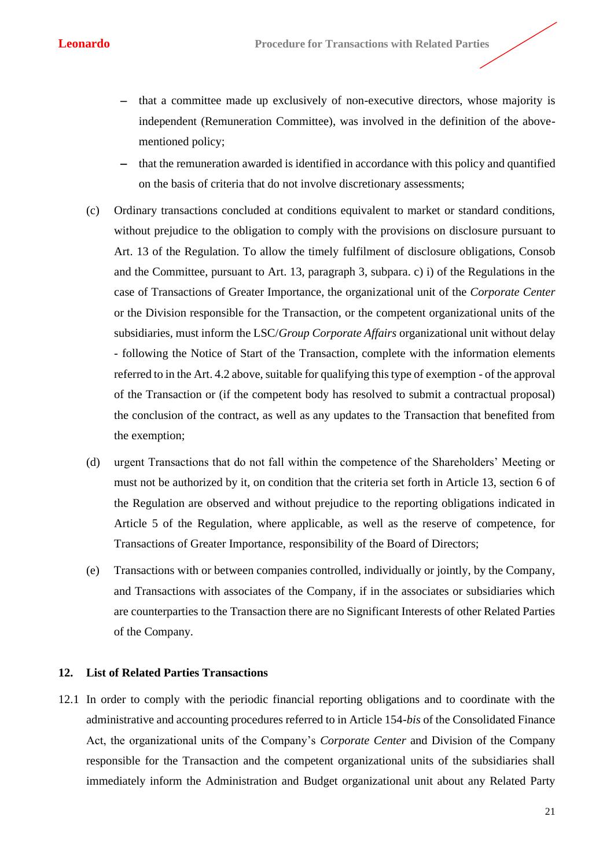- that a committee made up exclusively of non-executive directors, whose majority is independent (Remuneration Committee), was involved in the definition of the abovementioned policy;
- that the remuneration awarded is identified in accordance with this policy and quantified on the basis of criteria that do not involve discretionary assessments;
- (c) Ordinary transactions concluded at conditions equivalent to market or standard conditions, without prejudice to the obligation to comply with the provisions on disclosure pursuant to Art. 13 of the Regulation. To allow the timely fulfilment of disclosure obligations, Consob and the Committee, pursuant to Art. 13, paragraph 3, subpara. c) i) of the Regulations in the case of Transactions of Greater Importance, the organizational unit of the *Corporate Center* or the Division responsible for the Transaction, or the competent organizational units of the subsidiaries, must inform the LSC/*Group Corporate Affairs* organizational unit without delay - following the Notice of Start of the Transaction, complete with the information elements referred to in the Art. 4.2 above, suitable for qualifying this type of exemption - of the approval of the Transaction or (if the competent body has resolved to submit a contractual proposal) the conclusion of the contract, as well as any updates to the Transaction that benefited from the exemption;
- (d) urgent Transactions that do not fall within the competence of the Shareholders' Meeting or must not be authorized by it, on condition that the criteria set forth in Article 13, section 6 of the Regulation are observed and without prejudice to the reporting obligations indicated in Article 5 of the Regulation, where applicable, as well as the reserve of competence, for Transactions of Greater Importance, responsibility of the Board of Directors;
- (e) Transactions with or between companies controlled, individually or jointly, by the Company, and Transactions with associates of the Company, if in the associates or subsidiaries which are counterparties to the Transaction there are no Significant Interests of other Related Parties of the Company.

#### <span id="page-20-0"></span>**12. List of Related Parties Transactions**

12.1 In order to comply with the periodic financial reporting obligations and to coordinate with the administrative and accounting procedures referred to in Article 154-*bis* of the Consolidated Finance Act, the organizational units of the Company's *Corporate Center* and Division of the Company responsible for the Transaction and the competent organizational units of the subsidiaries shall immediately inform the Administration and Budget organizational unit about any Related Party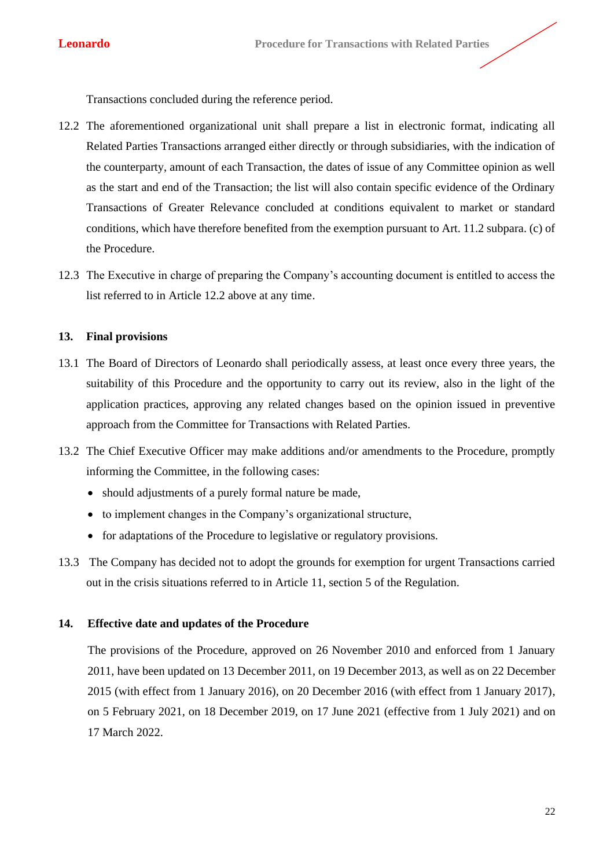Transactions concluded during the reference period.

- 12.2 The aforementioned organizational unit shall prepare a list in electronic format, indicating all Related Parties Transactions arranged either directly or through subsidiaries, with the indication of the counterparty, amount of each Transaction, the dates of issue of any Committee opinion as well as the start and end of the Transaction; the list will also contain specific evidence of the Ordinary Transactions of Greater Relevance concluded at conditions equivalent to market or standard conditions, which have therefore benefited from the exemption pursuant to Art. 11.2 subpara. (c) of the Procedure.
- 12.3 The Executive in charge of preparing the Company's accounting document is entitled to access the list referred to in Article 12.2 above at any time.

#### <span id="page-21-0"></span>**13. Final provisions**

- 13.1 The Board of Directors of Leonardo shall periodically assess, at least once every three years, the suitability of this Procedure and the opportunity to carry out its review, also in the light of the application practices, approving any related changes based on the opinion issued in preventive approach from the Committee for Transactions with Related Parties.
- 13.2 The Chief Executive Officer may make additions and/or amendments to the Procedure, promptly informing the Committee, in the following cases:
	- should adjustments of a purely formal nature be made,
	- to implement changes in the Company's organizational structure,
	- for adaptations of the Procedure to legislative or regulatory provisions.
- 13.3 The Company has decided not to adopt the grounds for exemption for urgent Transactions carried out in the crisis situations referred to in Article 11, section 5 of the Regulation.

#### <span id="page-21-1"></span>**14. Effective date and updates of the Procedure**

The provisions of the Procedure, approved on 26 November 2010 and enforced from 1 January 2011, have been updated on 13 December 2011, on 19 December 2013, as well as on 22 December 2015 (with effect from 1 January 2016), on 20 December 2016 (with effect from 1 January 2017), on 5 February 2021, on 18 December 2019, on 17 June 2021 (effective from 1 July 2021) and on 17 March 2022.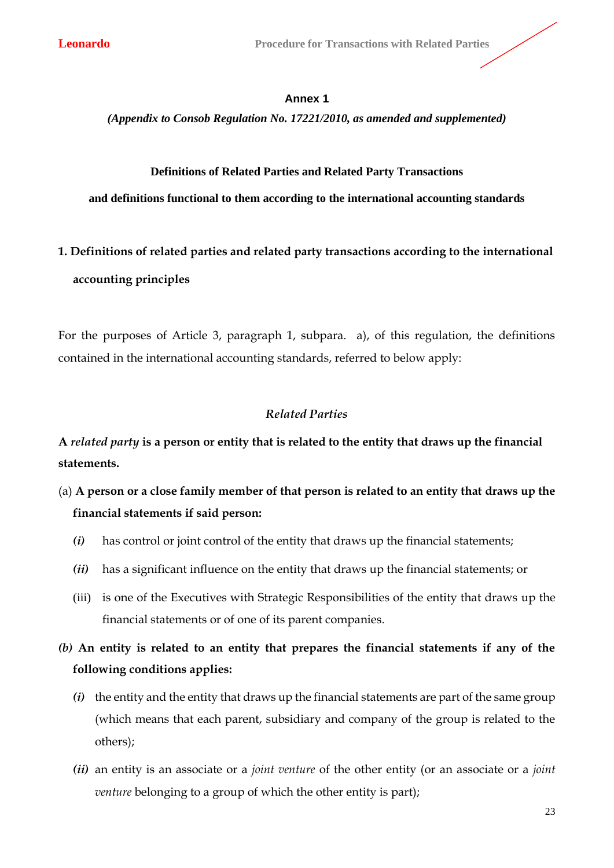#### **Annex 1**

<span id="page-22-0"></span>*(Appendix to Consob Regulation No. 17221/2010, as amended and supplemented)*

#### **Definitions of Related Parties and Related Party Transactions**

<span id="page-22-2"></span><span id="page-22-1"></span>**and definitions functional to them according to the international accounting standards**

**1. Definitions of related parties and related party transactions according to the international accounting principles**

For the purposes of Article 3, paragraph 1, subpara. a), of this regulation, the definitions contained in the international accounting standards, referred to below apply:

### *Related Parties*

**A** *related party* **is a person or entity that is related to the entity that draws up the financial statements.**

- (a) **A person or a close family member of that person is related to an entity that draws up the financial statements if said person:**
	- *(i)* has control or joint control of the entity that draws up the financial statements;
	- *(ii)* has a significant influence on the entity that draws up the financial statements; or
	- (iii) is one of the Executives with Strategic Responsibilities of the entity that draws up the financial statements or of one of its parent companies.
- *(b)* **An entity is related to an entity that prepares the financial statements if any of the following conditions applies:**
	- *(i)* the entity and the entity that draws up the financial statements are part of the same group (which means that each parent, subsidiary and company of the group is related to the others);
	- *(ii)* an entity is an associate or a *joint venture* of the other entity (or an associate or a *joint venture* belonging to a group of which the other entity is part);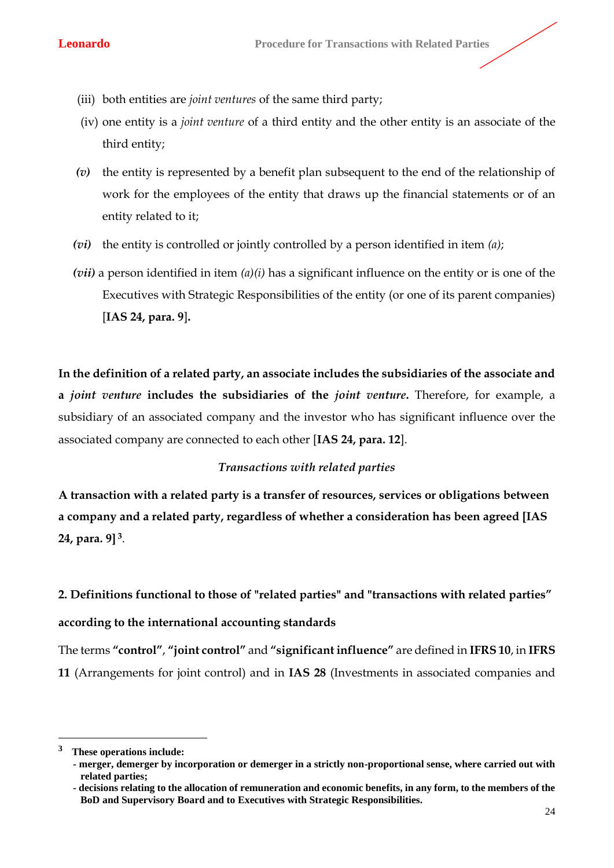- (iii) both entities are *joint ventures* of the same third party;
- (iv) one entity is a *joint venture* of a third entity and the other entity is an associate of the third entity;
- *(v)* the entity is represented by a benefit plan subsequent to the end of the relationship of work for the employees of the entity that draws up the financial statements or of an entity related to it;
- *(vi)* the entity is controlled or jointly controlled by a person identified in item *(a)*;
- *(vii)* a person identified in item *(a)(i)* has a significant influence on the entity or is one of the Executives with Strategic Responsibilities of the entity (or one of its parent companies) [**IAS 24, para. 9**]**.**

**In the definition of a related party, an associate includes the subsidiaries of the associate and a** *joint venture* **includes the subsidiaries of the** *joint venture***.** Therefore, for example, a subsidiary of an associated company and the investor who has significant influence over the associated company are connected to each other [**IAS 24, para. 12**].

### *Transactions with related parties*

**A transaction with a related party is a transfer of resources, services or obligations between a company and a related party, regardless of whether a consideration has been agreed [IAS 24, para. 9] <sup>3</sup>**.

# **2. Definitions functional to those of "related parties" and "transactions with related parties" according to the international accounting standards**

The terms **"control"**, **"joint control"** and **"significant influence"** are defined in **IFRS 10**, in **IFRS 11** (Arrangements for joint control) and in **IAS 28** (Investments in associated companies and

**<sup>3</sup> These operations include:**

**<sup>-</sup> merger, demerger by incorporation or demerger in a strictly non-proportional sense, where carried out with related parties;**

**<sup>-</sup> decisions relating to the allocation of remuneration and economic benefits, in any form, to the members of the BoD and Supervisory Board and to Executives with Strategic Responsibilities.**